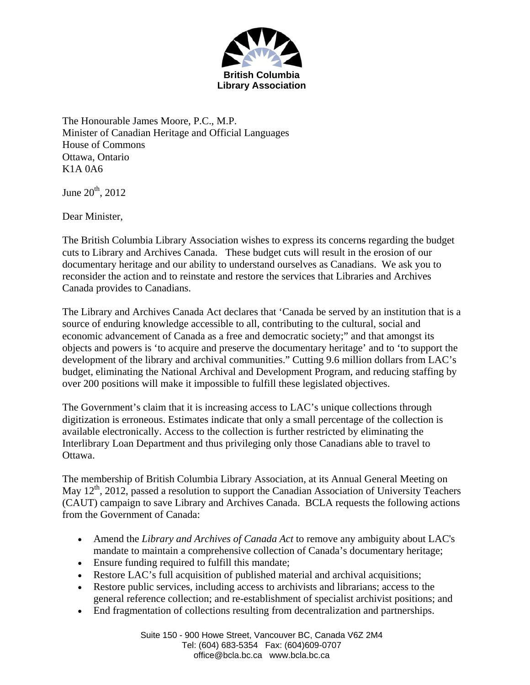

The Honourable James Moore, P.C., M.P. Minister of Canadian Heritage and Official Languages House of Commons Ottawa, Ontario K1A 0A6

June  $20^{th}$ ,  $2012$ 

Dear Minister,

The British Columbia Library Association wishes to express its concerns regarding the budget cuts to Library and Archives Canada. These budget cuts will result in the erosion of our documentary heritage and our ability to understand ourselves as Canadians. We ask you to reconsider the action and to reinstate and restore the services that Libraries and Archives Canada provides to Canadians.

The Library and Archives Canada Act declares that 'Canada be served by an institution that is a source of enduring knowledge accessible to all, contributing to the cultural, social and economic advancement of Canada as a free and democratic society;" and that amongst its objects and powers is 'to acquire and preserve the documentary heritage' and to 'to support the development of the library and archival communities." Cutting 9.6 million dollars from LAC's budget, eliminating the National Archival and Development Program, and reducing staffing by over 200 positions will make it impossible to fulfill these legislated objectives.

The Government's claim that it is increasing access to LAC's unique collections through digitization is erroneous. Estimates indicate that only a small percentage of the collection is available electronically. Access to the collection is further restricted by eliminating the Interlibrary Loan Department and thus privileging only those Canadians able to travel to Ottawa.

The membership of British Columbia Library Association, at its Annual General Meeting on May  $12<sup>th</sup>$ , 2012, passed a resolution to support the Canadian Association of University Teachers (CAUT) campaign to save Library and Archives Canada. BCLA requests the following actions from the Government of Canada:

- Amend the *Library and Archives of Canada Act* to remove any ambiguity about LAC's mandate to maintain a comprehensive collection of Canada's documentary heritage;
- Ensure funding required to fulfill this mandate;
- Restore LAC's full acquisition of published material and archival acquisitions;
- Restore public services, including access to archivists and librarians; access to the general reference collection; and re-establishment of specialist archivist positions; and
- End fragmentation of collections resulting from decentralization and partnerships.